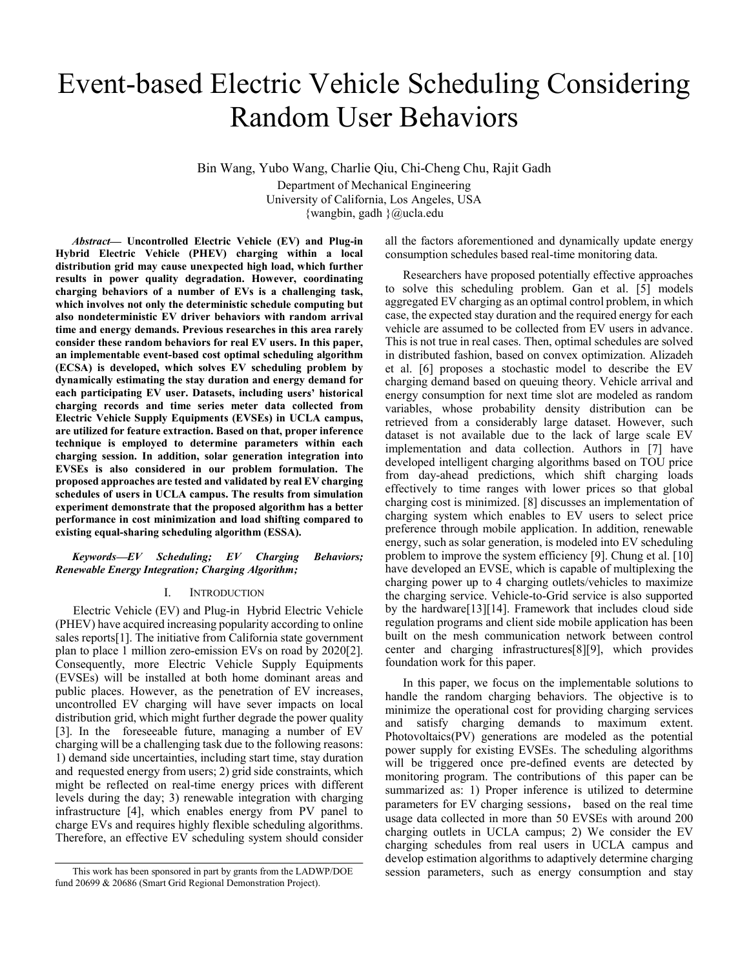# Event-based Electric Vehicle Scheduling Considering Random User Behaviors

Bin Wang, Yubo Wang, Charlie Qiu, Chi-Cheng Chu, Rajit Gadh Department of Mechanical Engineering University of California, Los Angeles, USA {wangbin, gadh }@ucla.edu

Abstract- Uncontrolled Electric Vehicle (EV) and Plug-in Hybrid Electric Vehicle (PHEV) charging within a local distribution grid may cause unexpected high load, which further results in power quality degradation. However, coordinating charging behaviors of a number of EVs is a challenging task, which involves not only the deterministic schedule computing but also nondeterministic EV driver behaviors with random arrival time and energy demands. Previous researches in this area rarely consider these random behaviors for real EV users. In this paper, an implementable event-based cost optimal scheduling algorithm (ECSA) is developed, which solves EV scheduling problem by dynamically estimating the stay duration and energy demand for each participating EV user. Datasets, including charging records and time series meter data collected from Electric Vehicle Supply Equipments (EVSEs) in UCLA campus, are utilized for feature extraction. Based on that, proper inference technique is employed to determine parameters within each charging session. In addition, solar generation integration into EVSEs is also considered in our problem formulation. The proposed approaches are tested and validated by real EV charging schedules of users in UCLA campus. The results from simulation experiment demonstrate that the proposed algorithm has a better performance in cost minimization and load shifting compared to existing equal-sharing scheduling algorithm (ESSA).

#### *Keywords EV Scheduling; EV Charging Behaviors; Renewable Energy Integration; Charging Algorithm;*

#### I. INTRODUCTION

Electric Vehicle (EV) and Plug-in Hybrid Electric Vehicle (PHEV) have acquired increasing popularity according to online sales reports[1]. The initiative from California state government plan to place 1 million zero-emission EVs on road by 2020[2]. Consequently, more Electric Vehicle Supply Equipments (EVSEs) will be installed at both home dominant areas and public places. However, as the penetration of EV increases, uncontrolled EV charging will have sever impacts on local distribution grid, which might further degrade the power quality [3]. In the foreseeable future, managing a number of EV charging will be a challenging task due to the following reasons: 1) demand side uncertainties, including start time, stay duration and requested energy from users; 2) grid side constraints, which might be reflected on real-time energy prices with different levels during the day; 3) renewable integration with charging infrastructure [4], which enables energy from PV panel to charge EVs and requires highly flexible scheduling algorithms. Therefore, an effective EV scheduling system should consider

all the factors aforementioned and dynamically update energy consumption schedules based real-time monitoring data.

Researchers have proposed potentially effective approaches to solve this scheduling problem. Gan et al. [5] models aggregated EV charging as an optimal control problem, in which case, the expected stay duration and the required energy for each vehicle are assumed to be collected from EV users in advance. This is not true in real cases. Then, optimal schedules are solved in distributed fashion, based on convex optimization. Alizadeh et al. [6] proposes a stochastic model to describe the EV charging demand based on queuing theory. Vehicle arrival and energy consumption for next time slot are modeled as random variables, whose probability density distribution can be retrieved from a considerably large dataset. However, such dataset is not available due to the lack of large scale EV implementation and data collection. Authors in [7] have developed intelligent charging algorithms based on TOU price from day-ahead predictions, which shift charging loads effectively to time ranges with lower prices so that global charging cost is minimized. [8] discusses an implementation of charging system which enables to EV users to select price preference through mobile application. In addition, renewable energy, such as solar generation, is modeled into EV scheduling problem to improve the system efficiency [9]. Chung et al. [10] have developed an EVSE, which is capable of multiplexing the charging power up to 4 charging outlets/vehicles to maximize the charging service. Vehicle-to-Grid service is also supported by the hardware[13][14]. Framework that includes cloud side regulation programs and client side mobile application has been built on the mesh communication network between control center and charging infrastructures[8][9], which provides foundation work for this paper.

In this paper, we focus on the implementable solutions to handle the random charging behaviors. The objective is to minimize the operational cost for providing charging services and satisfy charging demands to maximum extent. Photovoltaics(PV) generations are modeled as the potential power supply for existing EVSEs. The scheduling algorithms will be triggered once pre-defined events are detected by monitoring program. The contributions of this paper can be summarized as: 1) Proper inference is utilized to determine parameters for EV charging sessions, based on the real time usage data collected in more than 50 EVSEs with around 200 charging outlets in UCLA campus; 2) We consider the EV charging schedules from real users in UCLA campus and develop estimation algorithms to adaptively determine charging This work has been sponsored in part by grants from the LADWP/DOE session parameters, such as energy consumption and stay

fund 20699 & 20686 (Smart Grid Regional Demonstration Project).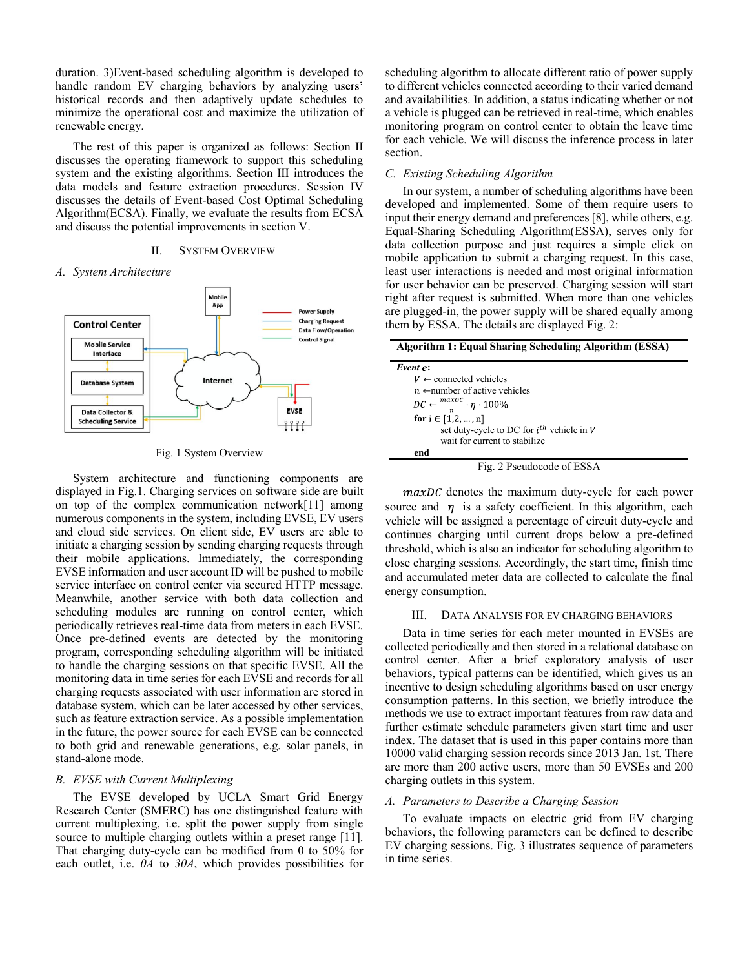duration. 3)Event-based scheduling algorithm is developed to handle random EV charging behaviors by analyzing users' historical records and then adaptively update schedules to minimize the operational cost and maximize the utilization of renewable energy.

The rest of this paper is organized as follows: Section II discusses the operating framework to support this scheduling system and the existing algorithms. Section III introduces the data models and feature extraction procedures. Session IV discusses the details of Event-based Cost Optimal Scheduling Algorithm(ECSA). Finally, we evaluate the results from ECSA and discuss the potential improvements in section V.

# II. SYSTEM OVERVIEW

#### *A. System Architecture*



#### Fig. 1 System Overview

System architecture and functioning components are displayed in Fig.1. Charging services on software side are built on top of the complex communication network[11] among numerous components in the system, including EVSE, EV users and cloud side services. On client side, EV users are able to initiate a charging session by sending charging requests through their mobile applications. Immediately, the corresponding EVSE information and user account ID will be pushed to mobile service interface on control center via secured HTTP message. Meanwhile, another service with both data collection and scheduling modules are running on control center, which periodically retrieves real-time data from meters in each EVSE. Once pre-defined events are detected by the monitoring program, corresponding scheduling algorithm will be initiated to handle the charging sessions on that specific EVSE. All the monitoring data in time series for each EVSE and records for all charging requests associated with user information are stored in database system, which can be later accessed by other services, such as feature extraction service. As a possible implementation in the future, the power source for each EVSE can be connected to both grid and renewable generations, e.g. solar panels, in stand-alone mode.

# *B. EVSE with Current Multiplexing*

The EVSE developed by UCLA Smart Grid Energy Research Center (SMERC) has one distinguished feature with current multiplexing, i.e. split the power supply from single source to multiple charging outlets within a preset range [11]. That charging duty-cycle can be modified from 0 to 50% for each outlet, i.e. *0A* to *30A*, which provides possibilities for scheduling algorithm to allocate different ratio of power supply to different vehicles connected according to their varied demand and availabilities. In addition, a status indicating whether or not a vehicle is plugged can be retrieved in real-time, which enables monitoring program on control center to obtain the leave time for each vehicle. We will discuss the inference process in later section.

# *C. Existing Scheduling Algorithm*

In our system, a number of scheduling algorithms have been developed and implemented. Some of them require users to input their energy demand and preferences [8], while others, e.g. Equal-Sharing Scheduling Algorithm(ESSA), serves only for data collection purpose and just requires a simple click on mobile application to submit a charging request. In this case, least user interactions is needed and most original information for user behavior can be preserved. Charging session will start right after request is submitted. When more than one vehicles are plugged-in, the power supply will be shared equally among them by ESSA. The details are displayed Fig. 2:

| <b>Algorithm 1: Equal Sharing Scheduling Algorithm (ESSA)</b>            |
|--------------------------------------------------------------------------|
| Event e:                                                                 |
| $V \leftarrow$ connected vehicles                                        |
| $n \leftarrow$ number of active vehicles                                 |
| $DC \leftarrow \frac{maxDC}{\eta} \cdot \eta \cdot 100\%$                |
| for $i \in [1,2,,n]$                                                     |
| set duty-cycle to DC for $i^{th}$ vehicle in V                           |
| wait for current to stabilize                                            |
| end                                                                      |
| $\mathbf{r}$ $\mathbf{A}$ $\mathbf{r}$ $\mathbf{I}$ $\mathbf{I}$<br>CDMA |

Fig. 2 Pseudocode of ESSA

 $maxDC$  denotes the maximum duty-cycle for each power source and  $\eta$  is a safety coefficient. In this algorithm, each vehicle will be assigned a percentage of circuit duty-cycle and continues charging until current drops below a pre-defined threshold, which is also an indicator for scheduling algorithm to close charging sessions. Accordingly, the start time, finish time and accumulated meter data are collected to calculate the final energy consumption.

#### III. DATA ANALYSIS FOR EV CHARGING BEHAVIORS

Data in time series for each meter mounted in EVSEs are collected periodically and then stored in a relational database on control center. After a brief exploratory analysis of user behaviors, typical patterns can be identified, which gives us an incentive to design scheduling algorithms based on user energy consumption patterns. In this section, we briefly introduce the methods we use to extract important features from raw data and further estimate schedule parameters given start time and user index. The dataset that is used in this paper contains more than 10000 valid charging session records since 2013 Jan. 1st. There are more than 200 active users, more than 50 EVSEs and 200 charging outlets in this system.

#### *A. Parameters to Describe a Charging Session*

To evaluate impacts on electric grid from EV charging behaviors, the following parameters can be defined to describe EV charging sessions. Fig. 3 illustrates sequence of parameters in time series.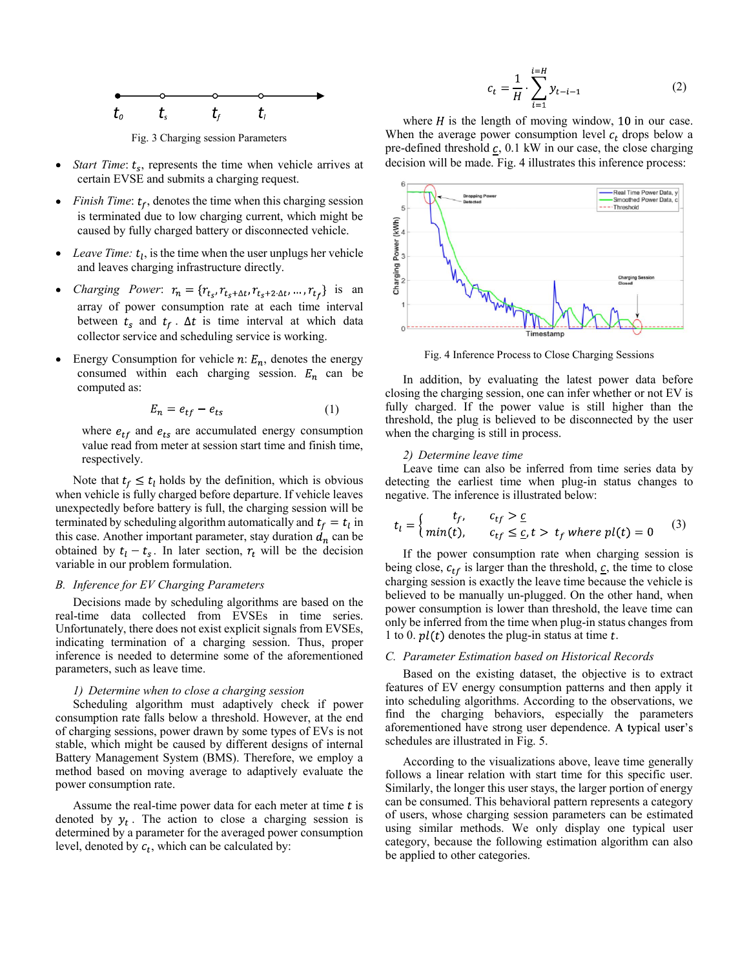

Fig. 3 Charging session Parameters

- *Start Time:*  $t_s$ , represents the time when vehicle arrives at certain EVSE and submits a charging request.
- *Finish Time:*  $t_f$ , denotes the time when this charging session  $\bullet$ is terminated due to low charging current, which might be caused by fully charged battery or disconnected vehicle.
- $\bullet$ *Leave Time:*  $t_l$ , is the time when the user unplugs her vehicle and leaves charging infrastructure directly.
- *Charging Power*:  $r_n = \{r_{t_s}, r_{t_s + \Delta t}, r_{t_s + 2 \Delta t}, \dots, r_{t_f}\}$  is an array of power consumption rate at each time interval between  $t_s$  and  $t_f$ .  $\Delta t$  is time interval at which data collector service and scheduling service is working.
- Energy Consumption for vehicle  $n: E_n$ , denotes the energy consumed within each charging session.  $E_n$  can be computed as:

$$
E_n = e_{tf} - e_{ts} \tag{1}
$$

where  $e_{tf}$  and  $e_{ts}$  are accumulated energy consumption value read from meter at session start time and finish time, respectively.

Note that  $t_f \leq t_l$  holds by the definition, which is obvious when vehicle is fully charged before departure. If vehicle leaves unexpectedly before battery is full, the charging session will be terminated by scheduling algorithm automatically and  $t_f = t_l$  in this case. Another important parameter, stay duration  $d_n$  can be obtained by  $t_1 - t_s$ . In later section,  $r_t$  will be the decision variable in our problem formulation.

# *B. Inference for EV Charging Parameters*

Decisions made by scheduling algorithms are based on the real-time data collected from EVSEs in time series. Unfortunately, there does not exist explicit signals from EVSEs, indicating termination of a charging session. Thus, proper inference is needed to determine some of the aforementioned parameters, such as leave time.

# *1) Determine when to close a charging session*

Scheduling algorithm must adaptively check if power consumption rate falls below a threshold. However, at the end of charging sessions, power drawn by some types of EVs is not stable, which might be caused by different designs of internal Battery Management System (BMS). Therefore, we employ a method based on moving average to adaptively evaluate the power consumption rate.

Assume the real-time power data for each meter at time  $t$  is denoted by  $y_t$ . The action to close a charging session is determined by a parameter for the averaged power consumption level, denoted by  $c_t$ , which can be calculated by:

$$
c_{t} = \frac{1}{H} \cdot \sum_{i=1}^{t=H} y_{t-i-1}
$$
 (2)

where  $H$  is the length of moving window, 10 in our case. When the average power consumption level  $c_t$  drops below a pre-defined threshold  $c$ , 0.1 kW in our case, the close charging decision will be made. Fig. 4 illustrates this inference process:



Fig. 4 Inference Process to Close Charging Sessions

In addition, by evaluating the latest power data before closing the charging session, one can infer whether or not EV is fully charged. If the power value is still higher than the threshold, the plug is believed to be disconnected by the user when the charging is still in process.

#### *2) Determine leave time*

Leave time can also be inferred from time series data by detecting the earliest time when plug-in status changes to negative. The inference is illustrated below:

$$
t_l = \begin{cases} t_f, & c_{tf} > \underline{c} \\ min(t), & c_{tf} \leq \underline{c}, t > t_f \text{ where } pl(t) = 0 \end{cases} (3)
$$

If the power consumption rate when charging session is being close,  $c_{tf}$  is larger than the threshold,  $\mathbf{c}$ , the time to close charging session is exactly the leave time because the vehicle is believed to be manually un-plugged. On the other hand, when power consumption is lower than threshold, the leave time can only be inferred from the time when plug-in status changes from 1 to 0.  $pl(t)$  denotes the plug-in status at time t.

## *C. Parameter Estimation based on Historical Records*

Based on the existing dataset, the objective is to extract features of EV energy consumption patterns and then apply it into scheduling algorithms. According to the observations, we find the charging behaviors, especially the parameters aforementioned have strong user dependence. A typical user's schedules are illustrated in Fig. 5.

According to the visualizations above, leave time generally follows a linear relation with start time for this specific user. Similarly, the longer this user stays, the larger portion of energy can be consumed. This behavioral pattern represents a category of users, whose charging session parameters can be estimated using similar methods. We only display one typical user category, because the following estimation algorithm can also be applied to other categories.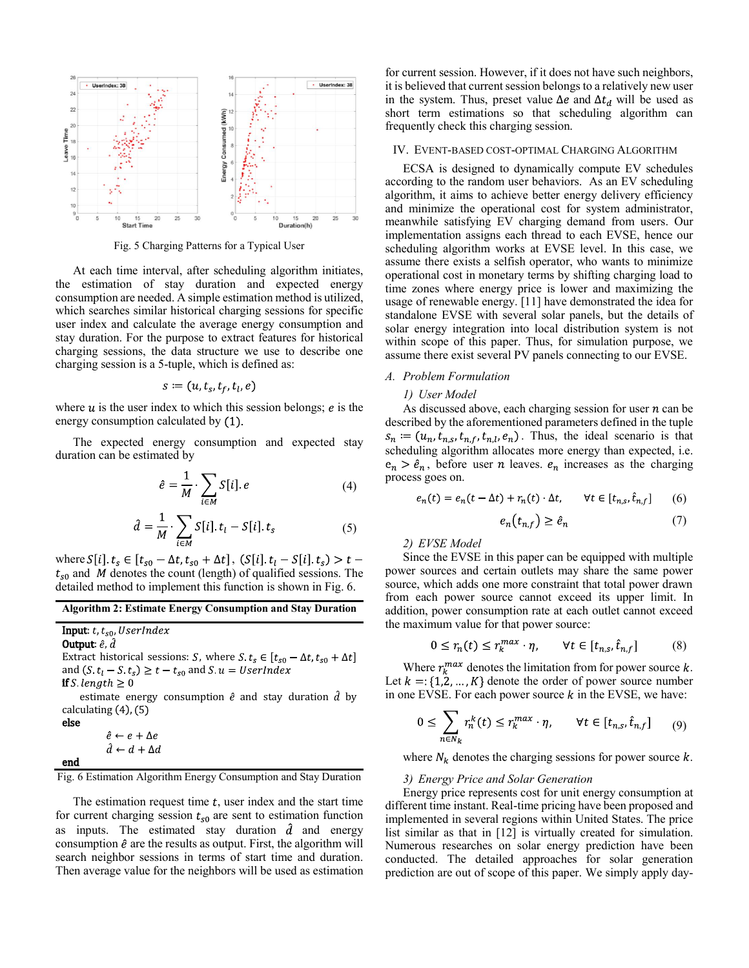

Fig. 5 Charging Patterns for a Typical User

At each time interval, after scheduling algorithm initiates, the estimation of stay duration and expected energy consumption are needed. A simple estimation method is utilized, which searches similar historical charging sessions for specific user index and calculate the average energy consumption and stay duration. For the purpose to extract features for historical charging sessions, the data structure we use to describe one charging session is a 5-tuple, which is defined as:

$$
s \coloneqq (u, t_s, t_f, t_l, e)
$$

where  $u$  is the user index to which this session belongs;  $e$  is the energy consumption calculated by  $(1)$ .

The expected energy consumption and expected stay duration can be estimated by

$$
\hat{e} = \frac{1}{M} \cdot \sum_{i \in M} S[i], e \tag{4}
$$

$$
\hat{d} = \frac{1}{M} \cdot \sum_{i \in M} S[i], t_i - S[i], t_s \tag{5}
$$

where  $S[i]$ ,  $t_s \in [t_{s0} - \Delta t, t_{s0} + \Delta t]$ ,  $(S[i], t_l - S[i], t_s) > t$  $t_{s0}$  and M denotes the count (length) of qualified sessions. The detailed method to implement this function is shown in Fig. 6.

## Algorithm 2: Estimate Energy Consumption and Stay Duration

Input:  $t, t_{s0}$ , UserIndex

Output:  $\hat{e}$ ,  $\hat{d}$ Extract historical sessions: *S*, where *S*.  $t_s \in [t_{s0} - \Delta t, t_{s0} + \Delta t]$ and  $(S \ t_l - S \ t_s) \geq t - t_{s0}$  and  $S \ u = UserIndex$ 

**if** S length  $\geq 0$ 

estimate energy consumption  $\hat{e}$  and stay duration  $\hat{d}$  by calculating  $(4)$ ,  $(5)$ 

```
else
```
end

```
\hat{e} \leftarrow e + \Delta e\hat{d} \leftarrow d + \Delta d
```
Fig. 6 Estimation Algorithm Energy Consumption and Stay Duration

The estimation request time  $t$ , user index and the start time for current charging session  $t_{\rm s0}$  are sent to estimation function as inputs. The estimated stay duration  $\hat{d}$  and energy consumption  $\hat{e}$  are the results as output. First, the algorithm will search neighbor sessions in terms of start time and duration. Then average value for the neighbors will be used as estimation for current session. However, if it does not have such neighbors, it is believed that current session belongs to a relatively new user in the system. Thus, preset value  $\Delta e$  and  $\Delta t_d$  will be used as short term estimations so that scheduling algorithm can frequently check this charging session.

# IV. EVENT-BASED COST-OPTIMAL CHARGING ALGORITHM

ECSA is designed to dynamically compute EV schedules according to the random user behaviors. As an EV scheduling algorithm, it aims to achieve better energy delivery efficiency and minimize the operational cost for system administrator, meanwhile satisfying EV charging demand from users. Our implementation assigns each thread to each EVSE, hence our scheduling algorithm works at EVSE level. In this case, we assume there exists a selfish operator, who wants to minimize operational cost in monetary terms by shifting charging load to time zones where energy price is lower and maximizing the usage of renewable energy. [11] have demonstrated the idea for standalone EVSE with several solar panels, but the details of solar energy integration into local distribution system is not within scope of this paper. Thus, for simulation purpose, we assume there exist several PV panels connecting to our EVSE.

## *A. Problem Formulation*

# *1) User Model*

As discussed above, each charging session for user  $n$  can be described by the aforementioned parameters defined in the tuple  $s_n := (u_n, t_{n,s}, t_{n,t}, t_{n,t}, e_n)$ . Thus, the ideal scenario is that scheduling algorithm allocates more energy than expected, i.e.  $e_n > \hat{e}_n$ , before user *n* leaves.  $e_n$  increases as the charging process goes on.

$$
e_n(t) = e_n(t - \Delta t) + r_n(t) \cdot \Delta t, \qquad \forall t \in [t_{n,s}, \hat{t}_{n,f}] \tag{6}
$$

$$
e_n(t_{n,f}) \ge \hat{e}_n \tag{7}
$$

*2) EVSE Model*

Since the EVSE in this paper can be equipped with multiple power sources and certain outlets may share the same power source, which adds one more constraint that total power drawn from each power source cannot exceed its upper limit. In addition, power consumption rate at each outlet cannot exceed the maximum value for that power source:

$$
0 \le r_n(t) \le r_k^{max} \cdot \eta, \qquad \forall t \in [t_{n,s}, \hat{t}_{n,f}] \tag{8}
$$

Where  $r_k^{max}$  denotes the limitation from for power source k. Let  $k = \{1, 2, ..., K\}$  denote the order of power source number in one EVSE. For each power source  $k$  in the EVSE, we have:

$$
0 \leq \sum_{n \in N_k} r_n^k(t) \leq r_k^{max} \cdot \eta, \qquad \forall t \in [t_{n,s}, \hat{t}_{n,f}] \qquad (9)
$$

where  $N_k$  denotes the charging sessions for power source  $k$ .

#### *3) Energy Price and Solar Generation*

Energy price represents cost for unit energy consumption at different time instant. Real-time pricing have been proposed and implemented in several regions within United States. The price list similar as that in [12] is virtually created for simulation. Numerous researches on solar energy prediction have been conducted. The detailed approaches for solar generation prediction are out of scope of this paper. We simply apply day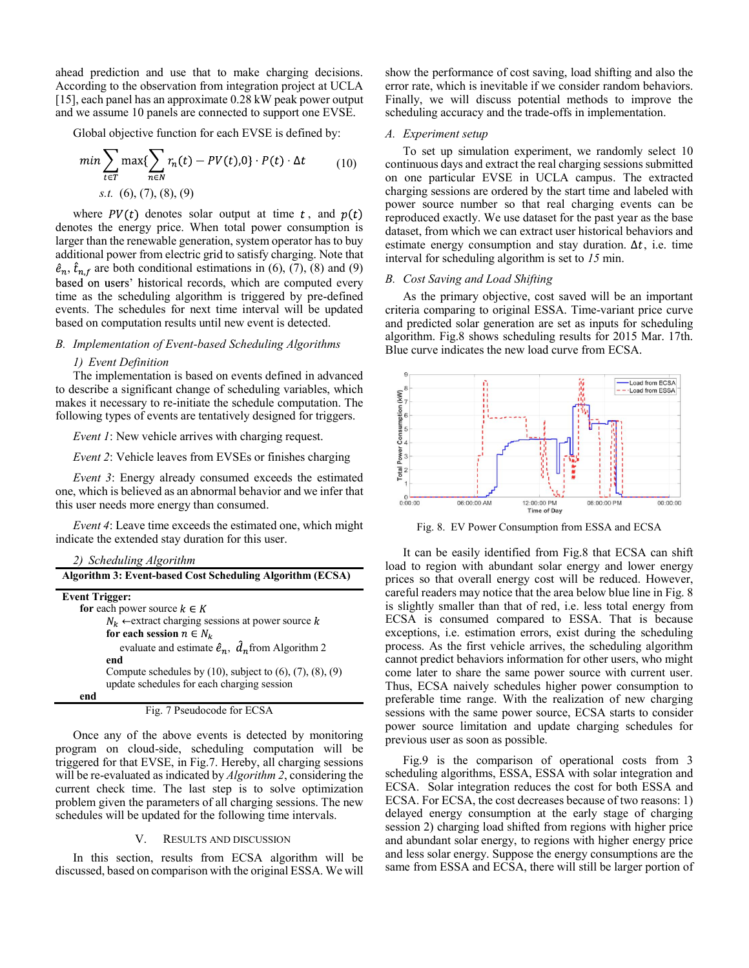ahead prediction and use that to make charging decisions. According to the observation from integration project at UCLA [15], each panel has an approximate 0.28 kW peak power output and we assume 10 panels are connected to support one EVSE.

Global objective function for each EVSE is defined by:

$$
\min \sum_{t \in T} \max \{ \sum_{n \in N} r_n(t) - PV(t), 0 \} \cdot P(t) \cdot \Delta t \tag{10}
$$
  
s.t. (6), (7), (8), (9)

where  $PV(t)$  denotes solar output at time t, and  $p(t)$ denotes the energy price. When total power consumption is larger than the renewable generation, system operator has to buy additional power from electric grid to satisfy charging. Note that  $\hat{e}_n$ ,  $\hat{t}_{n,f}$  are both conditional estimations in (6), (7), (8) and (9) based on users' historical records, which are computed every time as the scheduling algorithm is triggered by pre-defined events. The schedules for next time interval will be updated based on computation results until new event is detected.

# *B. Implementation of Event-based Scheduling Algorithms*

# *1) Event Definition*

The implementation is based on events defined in advanced to describe a significant change of scheduling variables, which makes it necessary to re-initiate the schedule computation. The following types of events are tentatively designed for triggers.

*Event 1*: New vehicle arrives with charging request.

*Event 2*: Vehicle leaves from EVSEs or finishes charging

*Event 3*: Energy already consumed exceeds the estimated one, which is believed as an abnormal behavior and we infer that this user needs more energy than consumed.

*Event 4*: Leave time exceeds the estimated one, which might indicate the extended stay duration for this user.

| 2) Scheduling Algorithm                                                |
|------------------------------------------------------------------------|
| Algorithm 3: Event-based Cost Scheduling Algorithm (ECSA)              |
| <b>Event Trigger:</b>                                                  |
| for each power source $k \in K$                                        |
| $N_k$ $\leftarrow$ extract charging sessions at power source k         |
| for each session $n \in N_k$                                           |
| evaluate and estimate $\hat{e}_n$ , $\hat{d}_n$ from Algorithm 2       |
| end                                                                    |
| Compute schedules by $(10)$ , subject to $(6)$ , $(7)$ , $(8)$ , $(9)$ |
| update schedules for each charging session                             |
| end                                                                    |
| Fig. 7 Pseudocode for ECSA                                             |

Once any of the above events is detected by monitoring program on cloud-side, scheduling computation will be triggered for that EVSE, in Fig.7. Hereby, all charging sessions will be re-evaluated as indicated by *Algorithm 2*, considering the current check time. The last step is to solve optimization problem given the parameters of all charging sessions. The new schedules will be updated for the following time intervals.

# V. RESULTS AND DISCUSSION

In this section, results from ECSA algorithm will be discussed, based on comparison with the original ESSA. We will show the performance of cost saving, load shifting and also the error rate, which is inevitable if we consider random behaviors. Finally, we will discuss potential methods to improve the scheduling accuracy and the trade-offs in implementation.

#### *A. Experiment setup*

To set up simulation experiment, we randomly select 10 continuous days and extract the real charging sessions submitted on one particular EVSE in UCLA campus. The extracted charging sessions are ordered by the start time and labeled with power source number so that real charging events can be reproduced exactly. We use dataset for the past year as the base dataset, from which we can extract user historical behaviors and estimate energy consumption and stay duration.  $\Delta t$ , i.e. time interval for scheduling algorithm is set to *15* min.

# *B. Cost Saving and Load Shifting*

As the primary objective, cost saved will be an important criteria comparing to original ESSA. Time-variant price curve and predicted solar generation are set as inputs for scheduling algorithm. Fig.8 shows scheduling results for 2015 Mar. 17th. Blue curve indicates the new load curve from ECSA.



Fig. 8. EV Power Consumption from ESSA and ECSA

It can be easily identified from Fig.8 that ECSA can shift load to region with abundant solar energy and lower energy prices so that overall energy cost will be reduced. However, careful readers may notice that the area below blue line in Fig. 8 is slightly smaller than that of red, i.e. less total energy from ECSA is consumed compared to ESSA. That is because exceptions, i.e. estimation errors, exist during the scheduling process. As the first vehicle arrives, the scheduling algorithm cannot predict behaviors information for other users, who might come later to share the same power source with current user. Thus, ECSA naively schedules higher power consumption to preferable time range. With the realization of new charging sessions with the same power source, ECSA starts to consider power source limitation and update charging schedules for previous user as soon as possible.

Fig.9 is the comparison of operational costs from 3 scheduling algorithms, ESSA, ESSA with solar integration and ECSA. Solar integration reduces the cost for both ESSA and ECSA. For ECSA, the cost decreases because of two reasons: 1) delayed energy consumption at the early stage of charging session 2) charging load shifted from regions with higher price and abundant solar energy, to regions with higher energy price and less solar energy. Suppose the energy consumptions are the same from ESSA and ECSA, there will still be larger portion of